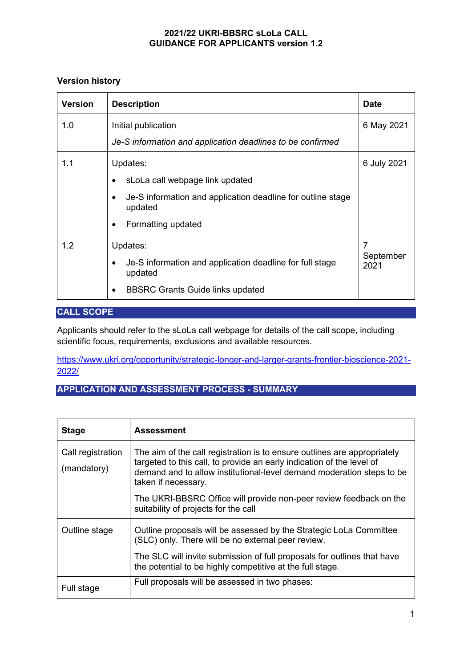### **Version history**

| <b>Version</b> | <b>Description</b>                                                          | <b>Date</b>       |
|----------------|-----------------------------------------------------------------------------|-------------------|
| 1.0            | Initial publication                                                         | 6 May 2021        |
|                | Je-S information and application deadlines to be confirmed                  |                   |
| 1.1            | Updates:                                                                    | 6 July 2021       |
|                | sLoLa call webpage link updated<br>٠                                        |                   |
|                | Je-S information and application deadline for outline stage<br>٠<br>updated |                   |
|                | Formatting updated<br>$\bullet$                                             |                   |
| 1.2            | Updates:                                                                    |                   |
|                | Je-S information and application deadline for full stage<br>updated         | September<br>2021 |
|                | <b>BBSRC Grants Guide links updated</b><br>$\bullet$                        |                   |

# **CALL SCOPE**

Applicants should refer to the sLoLa call webpage for details of the call scope, including scientific focus, requirements, exclusions and available resources.

[https://www.ukri.org/opportunity/strategic-longer-and-larger-grants-frontier-bioscience-2021-](https://www.ukri.org/opportunity/strategic-longer-and-larger-grants-frontier-bioscience-2021-2022/) [2022/](https://www.ukri.org/opportunity/strategic-longer-and-larger-grants-frontier-bioscience-2021-2022/)

# **APPLICATION AND ASSESSMENT PROCESS - SUMMARY**

| <b>Stage</b>                     | <b>Assessment</b>                                                                                                                                                                                                                                 |
|----------------------------------|---------------------------------------------------------------------------------------------------------------------------------------------------------------------------------------------------------------------------------------------------|
| Call registration<br>(mandatory) | The aim of the call registration is to ensure outlines are appropriately<br>targeted to this call, to provide an early indication of the level of<br>demand and to allow institutional-level demand moderation steps to be<br>taken if necessary. |
|                                  | The UKRI-BBSRC Office will provide non-peer review feedback on the<br>suitability of projects for the call                                                                                                                                        |
| Outline stage                    | Outline proposals will be assessed by the Strategic LoLa Committee<br>(SLC) only. There will be no external peer review.                                                                                                                          |
|                                  | The SLC will invite submission of full proposals for outlines that have<br>the potential to be highly competitive at the full stage.                                                                                                              |
| Full stage                       | Full proposals will be assessed in two phases:                                                                                                                                                                                                    |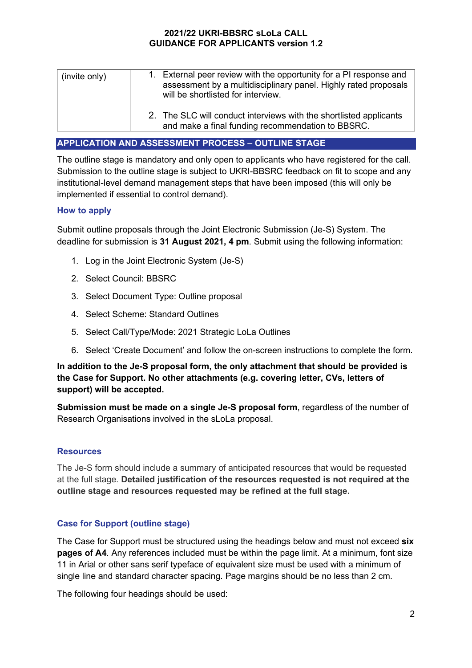| (invite only) | 1. External peer review with the opportunity for a PI response and<br>assessment by a multidisciplinary panel. Highly rated proposals<br>will be shortlisted for interview. |
|---------------|-----------------------------------------------------------------------------------------------------------------------------------------------------------------------------|
|               | 2. The SLC will conduct interviews with the shortlisted applicants<br>and make a final funding recommendation to BBSRC.                                                     |

# **APPLICATION AND ASSESSMENT PROCESS – OUTLINE STAGE**

The outline stage is mandatory and only open to applicants who have registered for the call. Submission to the outline stage is subject to UKRI-BBSRC feedback on fit to scope and any institutional-level demand management steps that have been imposed (this will only be implemented if essential to control demand).

### **How to apply**

Submit outline proposals through the Joint Electronic Submission (Je-S) System. The deadline for submission is **31 August 2021, 4 pm**. Submit using the following information:

- 1. Log in the Joint Electronic System (Je-S)
- 2. Select Council: BBSRC
- 3. Select Document Type: Outline proposal
- 4. Select Scheme: Standard Outlines
- 5. Select Call/Type/Mode: 2021 Strategic LoLa Outlines
- 6. Select 'Create Document' and follow the on-screen instructions to complete the form.

**In addition to the Je-S proposal form, the only attachment that should be provided is the Case for Support. No other attachments (e.g. covering letter, CVs, letters of support) will be accepted.**

**Submission must be made on a single Je-S proposal form**, regardless of the number of Research Organisations involved in the sLoLa proposal.

### **Resources**

The Je-S form should include a summary of anticipated resources that would be requested at the full stage. **Detailed justification of the resources requested is not required at the outline stage and resources requested may be refined at the full stage.**

### **Case for Support (outline stage)**

The Case for Support must be structured using the headings below and must not exceed **six pages of A4**. Any references included must be within the page limit. At a minimum, font size 11 in Arial or other sans serif typeface of equivalent size must be used with a minimum of single line and standard character spacing. Page margins should be no less than 2 cm.

The following four headings should be used: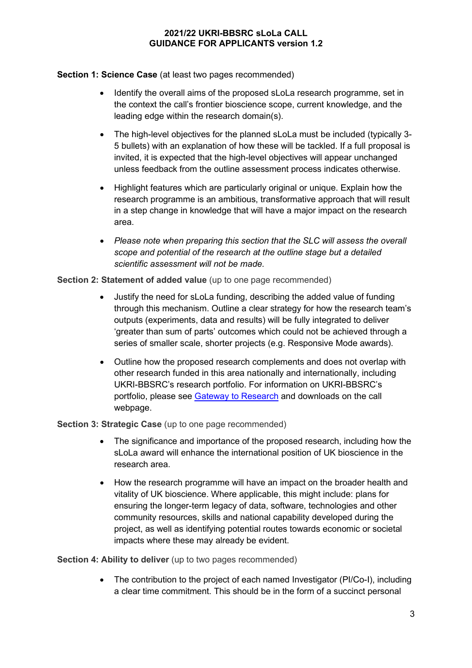# **Section 1: Science Case** (at least two pages recommended)

- Identify the overall aims of the proposed sLoLa research programme, set in the context the call's frontier bioscience scope, current knowledge, and the leading edge within the research domain(s).
- The high-level objectives for the planned sLoLa must be included (typically 3- 5 bullets) with an explanation of how these will be tackled. If a full proposal is invited, it is expected that the high-level objectives will appear unchanged unless feedback from the outline assessment process indicates otherwise.
- Highlight features which are particularly original or unique. Explain how the research programme is an ambitious, transformative approach that will result in a step change in knowledge that will have a major impact on the research area.
- *Please note when preparing this section that the SLC will assess the overall scope and potential of the research at the outline stage but a detailed scientific assessment will not be made.*

# **Section 2: Statement of added value** (up to one page recommended)

- Justify the need for sLoLa funding, describing the added value of funding through this mechanism. Outline a clear strategy for how the research team's outputs (experiments, data and results) will be fully integrated to deliver 'greater than sum of parts' outcomes which could not be achieved through a series of smaller scale, shorter projects (e.g. Responsive Mode awards).
- Outline how the proposed research complements and does not overlap with other research funded in this area nationally and internationally, including UKRI-BBSRC's research portfolio. For information on UKRI-BBSRC's portfolio, please see [Gateway to Research](https://gtr.ukri.org/) and downloads on the call webpage.

# **Section 3: Strategic Case** (up to one page recommended)

- The significance and importance of the proposed research, including how the sLoLa award will enhance the international position of UK bioscience in the research area.
- How the research programme will have an impact on the broader health and vitality of UK bioscience. Where applicable, this might include: plans for ensuring the longer-term legacy of data, software, technologies and other community resources, skills and national capability developed during the project, as well as identifying potential routes towards economic or societal impacts where these may already be evident.

# **Section 4: Ability to deliver** (up to two pages recommended)

• The contribution to the project of each named Investigator (PI/Co-I), including a clear time commitment. This should be in the form of a succinct personal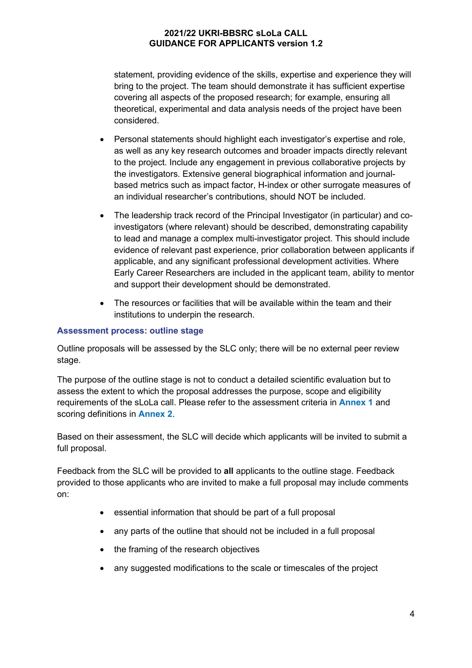statement, providing evidence of the skills, expertise and experience they will bring to the project. The team should demonstrate it has sufficient expertise covering all aspects of the proposed research; for example, ensuring all theoretical, experimental and data analysis needs of the project have been considered.

- Personal statements should highlight each investigator's expertise and role, as well as any key research outcomes and broader impacts directly relevant to the project. Include any engagement in previous collaborative projects by the investigators. Extensive general biographical information and journalbased metrics such as impact factor, H-index or other surrogate measures of an individual researcher's contributions, should NOT be included.
- The leadership track record of the Principal Investigator (in particular) and coinvestigators (where relevant) should be described, demonstrating capability to lead and manage a complex multi-investigator project. This should include evidence of relevant past experience, prior collaboration between applicants if applicable, and any significant professional development activities. Where Early Career Researchers are included in the applicant team, ability to mentor and support their development should be demonstrated.
- The resources or facilities that will be available within the team and their institutions to underpin the research.

### **Assessment process: outline stage**

Outline proposals will be assessed by the SLC only; there will be no external peer review stage.

The purpose of the outline stage is not to conduct a detailed scientific evaluation but to assess the extent to which the proposal addresses the purpose, scope and eligibility requirements of the sLoLa call. Please refer to the assessment criteria in **Annex 1** and scoring definitions in **Annex 2**.

Based on their assessment, the SLC will decide which applicants will be invited to submit a full proposal.

Feedback from the SLC will be provided to **all** applicants to the outline stage. Feedback provided to those applicants who are invited to make a full proposal may include comments on:

- essential information that should be part of a full proposal
- any parts of the outline that should not be included in a full proposal
- the framing of the research objectives
- any suggested modifications to the scale or timescales of the project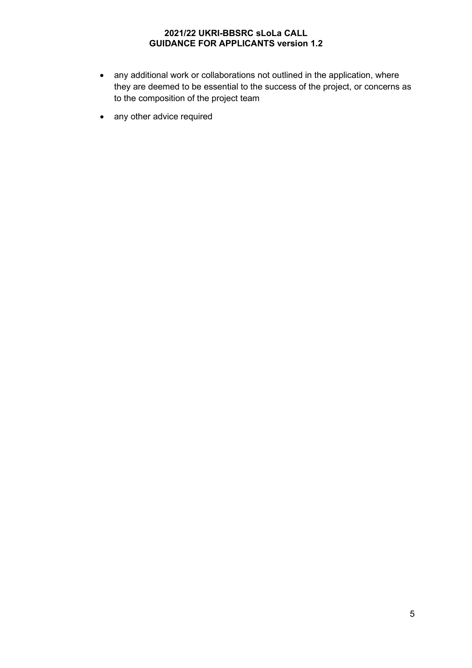- any additional work or collaborations not outlined in the application, where they are deemed to be essential to the success of the project, or concerns as to the composition of the project team
- any other advice required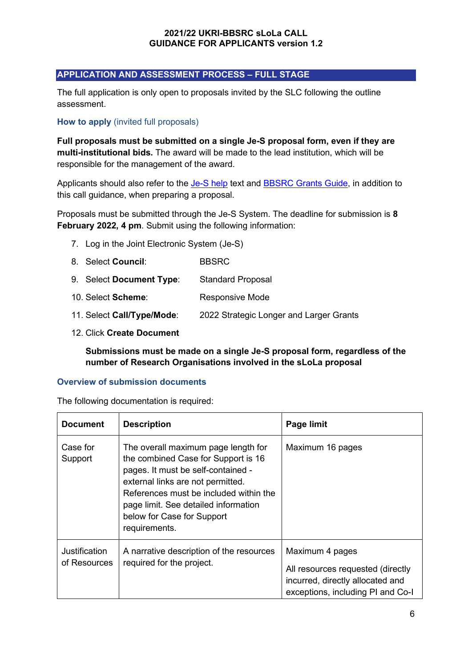# **APPLICATION AND ASSESSMENT PROCESS – FULL STAGE**

The full application is only open to proposals invited by the SLC following the outline assessment.

# **How to apply** (invited full proposals)

**Full proposals must be submitted on a single Je-S proposal form, even if they are multi-institutional bids.** The award will be made to the lead institution, which will be responsible for the management of the award.

Applicants should also refer to the [Je-S help](https://je-s.rcuk.ac.uk/Handbook/Index.htm) text and **BBSRC Grants Guide**, in addition to this call guidance, when preparing a proposal.

Proposals must be submitted through the Je-S System. The deadline for submission is **8 February 2022, 4 pm**. Submit using the following information:

- 7. Log in the Joint Electronic System (Je-S)
- 8. Select **Council**: BBSRC
- 9. Select **Document Type**: Standard Proposal
- 10. Select **Scheme**: Responsive Mode
- 11. Select **Call/Type/Mode**: 2022 Strategic Longer and Larger Grants
- 12. Click **Create Document**

**Submissions must be made on a single Je-S proposal form, regardless of the number of Research Organisations involved in the sLoLa proposal**

#### **Overview of submission documents**

The following documentation is required:

| <b>Document</b>               | <b>Description</b>                                                                                                                                                                                                                                                                     | Page limit                                                                                                                    |
|-------------------------------|----------------------------------------------------------------------------------------------------------------------------------------------------------------------------------------------------------------------------------------------------------------------------------------|-------------------------------------------------------------------------------------------------------------------------------|
| Case for<br>Support           | The overall maximum page length for<br>the combined Case for Support is 16<br>pages. It must be self-contained -<br>external links are not permitted.<br>References must be included within the<br>page limit. See detailed information<br>below for Case for Support<br>requirements. | Maximum 16 pages                                                                                                              |
| Justification<br>of Resources | A narrative description of the resources<br>required for the project.                                                                                                                                                                                                                  | Maximum 4 pages<br>All resources requested (directly<br>incurred, directly allocated and<br>exceptions, including PI and Co-I |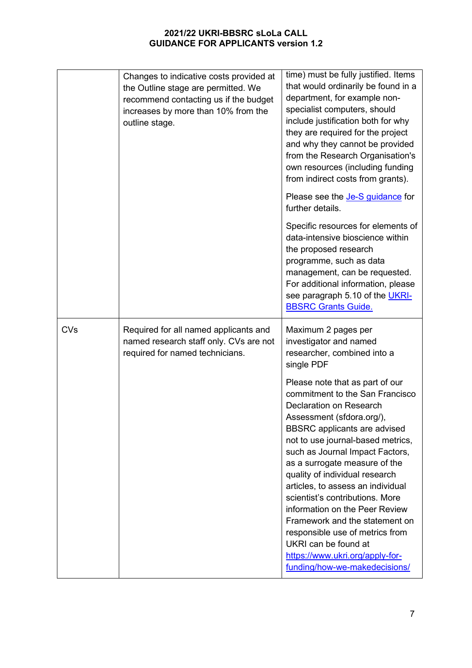|            | Changes to indicative costs provided at<br>the Outline stage are permitted. We<br>recommend contacting us if the budget<br>increases by more than 10% from the<br>outline stage. | time) must be fully justified. Items<br>that would ordinarily be found in a<br>department, for example non-<br>specialist computers, should<br>include justification both for why<br>they are required for the project<br>and why they cannot be provided<br>from the Research Organisation's<br>own resources (including funding<br>from indirect costs from grants).                                                                                                                                                                                                                         |
|------------|----------------------------------------------------------------------------------------------------------------------------------------------------------------------------------|------------------------------------------------------------------------------------------------------------------------------------------------------------------------------------------------------------------------------------------------------------------------------------------------------------------------------------------------------------------------------------------------------------------------------------------------------------------------------------------------------------------------------------------------------------------------------------------------|
|            |                                                                                                                                                                                  | Please see the <b>Je-S</b> guidance for<br>further details.                                                                                                                                                                                                                                                                                                                                                                                                                                                                                                                                    |
|            |                                                                                                                                                                                  | Specific resources for elements of<br>data-intensive bioscience within<br>the proposed research<br>programme, such as data<br>management, can be requested.<br>For additional information, please<br>see paragraph 5.10 of the UKRI-<br><b>BBSRC Grants Guide.</b>                                                                                                                                                                                                                                                                                                                             |
| <b>CVs</b> | Required for all named applicants and<br>named research staff only. CVs are not<br>required for named technicians.                                                               | Maximum 2 pages per<br>investigator and named<br>researcher, combined into a<br>single PDF                                                                                                                                                                                                                                                                                                                                                                                                                                                                                                     |
|            |                                                                                                                                                                                  | Please note that as part of our<br>commitment to the San Francisco<br><b>Declaration on Research</b><br>Assessment (sfdora.org/),<br><b>BBSRC</b> applicants are advised<br>not to use journal-based metrics,<br>such as Journal Impact Factors,<br>as a surrogate measure of the<br>quality of individual research<br>articles, to assess an individual<br>scientist's contributions. More<br>information on the Peer Review<br>Framework and the statement on<br>responsible use of metrics from<br>UKRI can be found at<br>https://www.ukri.org/apply-for-<br>funding/how-we-makedecisions/ |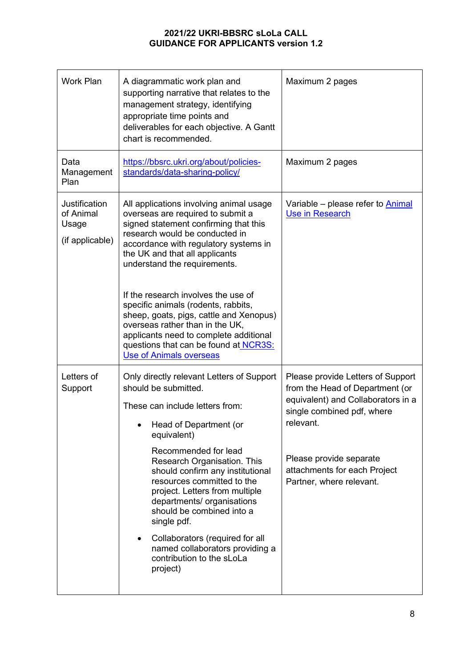| <b>Work Plan</b>                                              | A diagrammatic work plan and<br>supporting narrative that relates to the<br>management strategy, identifying<br>appropriate time points and<br>deliverables for each objective. A Gantt<br>chart is recommended.                                                                                                                                                                                                                                                                                       | Maximum 2 pages                                                                                                                                                                                                                              |
|---------------------------------------------------------------|--------------------------------------------------------------------------------------------------------------------------------------------------------------------------------------------------------------------------------------------------------------------------------------------------------------------------------------------------------------------------------------------------------------------------------------------------------------------------------------------------------|----------------------------------------------------------------------------------------------------------------------------------------------------------------------------------------------------------------------------------------------|
| Data<br>Management<br>Plan                                    | https://bbsrc.ukri.org/about/policies-<br>standards/data-sharing-policy/                                                                                                                                                                                                                                                                                                                                                                                                                               | Maximum 2 pages                                                                                                                                                                                                                              |
| <b>Justification</b><br>of Animal<br>Usage<br>(if applicable) | All applications involving animal usage<br>overseas are required to submit a<br>signed statement confirming that this<br>research would be conducted in<br>accordance with regulatory systems in<br>the UK and that all applicants<br>understand the requirements.                                                                                                                                                                                                                                     | Variable - please refer to <b>Animal</b><br>Use in Research                                                                                                                                                                                  |
|                                                               | If the research involves the use of<br>specific animals (rodents, rabbits,<br>sheep, goats, pigs, cattle and Xenopus)<br>overseas rather than in the UK,<br>applicants need to complete additional<br>questions that can be found at NCR3S:<br><b>Use of Animals overseas</b>                                                                                                                                                                                                                          |                                                                                                                                                                                                                                              |
| Letters of<br>Support                                         | Only directly relevant Letters of Support<br>should be submitted.<br>These can include letters from:<br>Head of Department (or<br>equivalent)<br>Recommended for lead<br>Research Organisation. This<br>should confirm any institutional<br>resources committed to the<br>project. Letters from multiple<br>departments/ organisations<br>should be combined into a<br>single pdf.<br>Collaborators (required for all<br>٠<br>named collaborators providing a<br>contribution to the sLoLa<br>project) | Please provide Letters of Support<br>from the Head of Department (or<br>equivalent) and Collaborators in a<br>single combined pdf, where<br>relevant.<br>Please provide separate<br>attachments for each Project<br>Partner, where relevant. |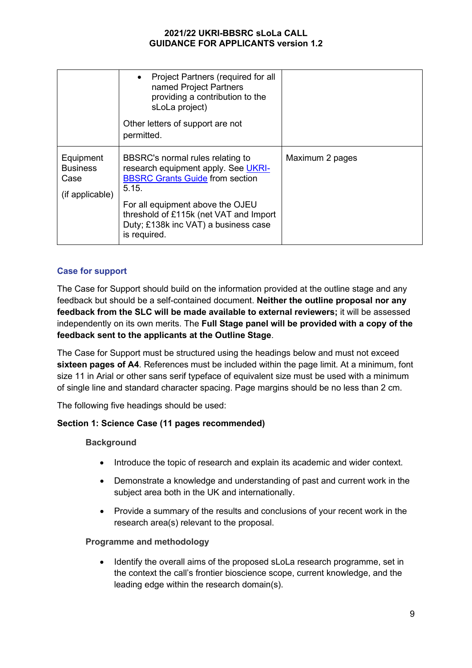|                                                         | Project Partners (required for all<br>named Project Partners<br>providing a contribution to the<br>sLoLa project)<br>Other letters of support are not<br>permitted.                                                                                              |                 |
|---------------------------------------------------------|------------------------------------------------------------------------------------------------------------------------------------------------------------------------------------------------------------------------------------------------------------------|-----------------|
| Equipment<br><b>Business</b><br>Case<br>(if applicable) | BBSRC's normal rules relating to<br>research equipment apply. See UKRI-<br><b>BBSRC Grants Guide from section</b><br>5.15.<br>For all equipment above the OJEU<br>threshold of £115k (net VAT and Import<br>Duty; £138k inc VAT) a business case<br>is required. | Maximum 2 pages |

# **Case for support**

The Case for Support should build on the information provided at the outline stage and any feedback but should be a self-contained document. **Neither the outline proposal nor any feedback from the SLC will be made available to external reviewers;** it will be assessed independently on its own merits. The **Full Stage panel will be provided with a copy of the feedback sent to the applicants at the Outline Stage**.

The Case for Support must be structured using the headings below and must not exceed **sixteen pages of A4**. References must be included within the page limit. At a minimum, font size 11 in Arial or other sans serif typeface of equivalent size must be used with a minimum of single line and standard character spacing. Page margins should be no less than 2 cm.

The following five headings should be used:

### **Section 1: Science Case (11 pages recommended)**

### **Background**

- Introduce the topic of research and explain its academic and wider context.
- Demonstrate a knowledge and understanding of past and current work in the subject area both in the UK and internationally.
- Provide a summary of the results and conclusions of your recent work in the research area(s) relevant to the proposal.

### **Programme and methodology**

• Identify the overall aims of the proposed sLoLa research programme, set in the context the call's frontier bioscience scope, current knowledge, and the leading edge within the research domain(s).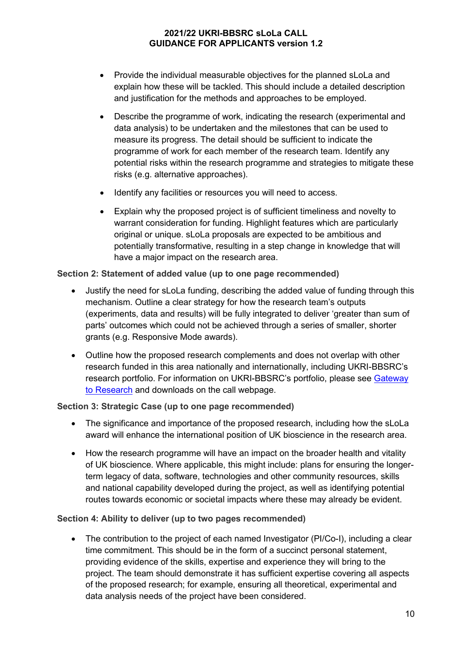- Provide the individual measurable objectives for the planned sLoLa and explain how these will be tackled. This should include a detailed description and justification for the methods and approaches to be employed.
- Describe the programme of work, indicating the research (experimental and data analysis) to be undertaken and the milestones that can be used to measure its progress. The detail should be sufficient to indicate the programme of work for each member of the research team. Identify any potential risks within the research programme and strategies to mitigate these risks (e.g. alternative approaches).
- Identify any facilities or resources you will need to access.
- Explain why the proposed project is of sufficient timeliness and novelty to warrant consideration for funding. Highlight features which are particularly original or unique. sLoLa proposals are expected to be ambitious and potentially transformative, resulting in a step change in knowledge that will have a major impact on the research area.

# **Section 2: Statement of added value (up to one page recommended)**

- Justify the need for sLoLa funding, describing the added value of funding through this mechanism. Outline a clear strategy for how the research team's outputs (experiments, data and results) will be fully integrated to deliver 'greater than sum of parts' outcomes which could not be achieved through a series of smaller, shorter grants (e.g. Responsive Mode awards).
- Outline how the proposed research complements and does not overlap with other research funded in this area nationally and internationally, including UKRI-BBSRC's research portfolio. For information on UKRI-BBSRC's portfolio, please see [Gateway](https://gtr.ukri.org/)  [to Research](https://gtr.ukri.org/) and downloads on the call webpage.

### **Section 3: Strategic Case (up to one page recommended)**

- The significance and importance of the proposed research, including how the sLoLa award will enhance the international position of UK bioscience in the research area.
- How the research programme will have an impact on the broader health and vitality of UK bioscience. Where applicable, this might include: plans for ensuring the longerterm legacy of data, software, technologies and other community resources, skills and national capability developed during the project, as well as identifying potential routes towards economic or societal impacts where these may already be evident.

### **Section 4: Ability to deliver (up to two pages recommended)**

• The contribution to the project of each named Investigator (PI/Co-I), including a clear time commitment. This should be in the form of a succinct personal statement, providing evidence of the skills, expertise and experience they will bring to the project. The team should demonstrate it has sufficient expertise covering all aspects of the proposed research; for example, ensuring all theoretical, experimental and data analysis needs of the project have been considered.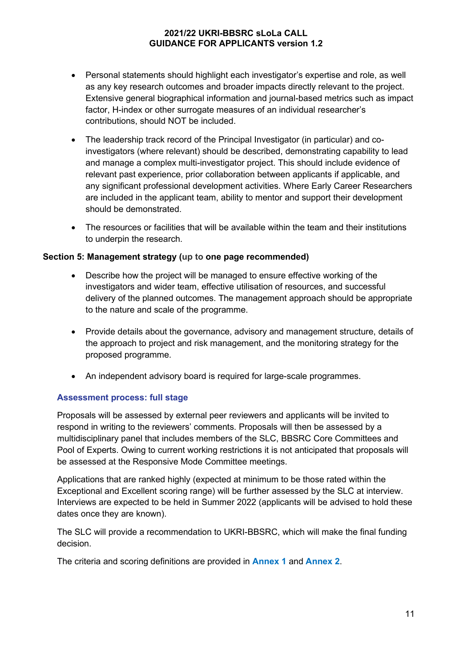- Personal statements should highlight each investigator's expertise and role, as well as any key research outcomes and broader impacts directly relevant to the project. Extensive general biographical information and journal-based metrics such as impact factor, H-index or other surrogate measures of an individual researcher's contributions, should NOT be included.
- The leadership track record of the Principal Investigator (in particular) and coinvestigators (where relevant) should be described, demonstrating capability to lead and manage a complex multi-investigator project. This should include evidence of relevant past experience, prior collaboration between applicants if applicable, and any significant professional development activities. Where Early Career Researchers are included in the applicant team, ability to mentor and support their development should be demonstrated.
- The resources or facilities that will be available within the team and their institutions to underpin the research.

# **Section 5: Management strategy (up to one page recommended)**

- Describe how the project will be managed to ensure effective working of the investigators and wider team, effective utilisation of resources, and successful delivery of the planned outcomes. The management approach should be appropriate to the nature and scale of the programme.
- Provide details about the governance, advisory and management structure, details of the approach to project and risk management, and the monitoring strategy for the proposed programme.
- An independent advisory board is required for large-scale programmes.

# **Assessment process: full stage**

Proposals will be assessed by external peer reviewers and applicants will be invited to respond in writing to the reviewers' comments. Proposals will then be assessed by a multidisciplinary panel that includes members of the SLC, BBSRC Core Committees and Pool of Experts. Owing to current working restrictions it is not anticipated that proposals will be assessed at the Responsive Mode Committee meetings.

Applications that are ranked highly (expected at minimum to be those rated within the Exceptional and Excellent scoring range) will be further assessed by the SLC at interview. Interviews are expected to be held in Summer 2022 (applicants will be advised to hold these dates once they are known).

The SLC will provide a recommendation to UKRI-BBSRC, which will make the final funding decision.

The criteria and scoring definitions are provided in **Annex 1** and **Annex 2**.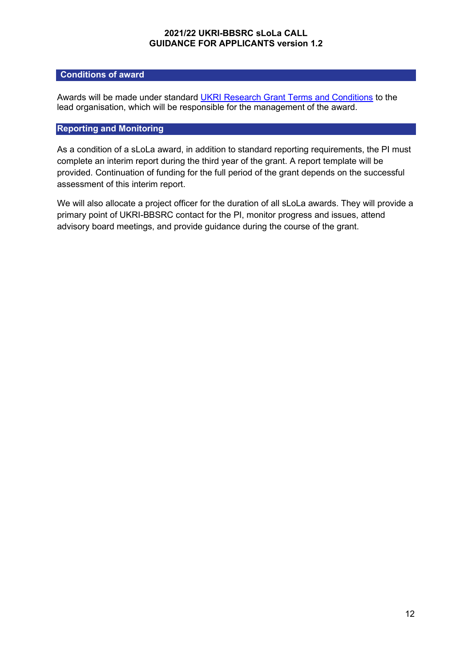#### **Conditions of award**

Awards will be made under standard [UKRI Research Grant Terms and Conditions](https://www.ukri.org/funding/information-for-award-holders/grant-terms-and-conditions/) to the lead organisation, which will be responsible for the management of the award.

# **Reporting and Monitoring**

As a condition of a sLoLa award, in addition to standard reporting requirements, the PI must complete an interim report during the third year of the grant. A report template will be provided. Continuation of funding for the full period of the grant depends on the successful assessment of this interim report.

We will also allocate a project officer for the duration of all sLoLa awards. They will provide a primary point of UKRI-BBSRC contact for the PI, monitor progress and issues, attend advisory board meetings, and provide guidance during the course of the grant.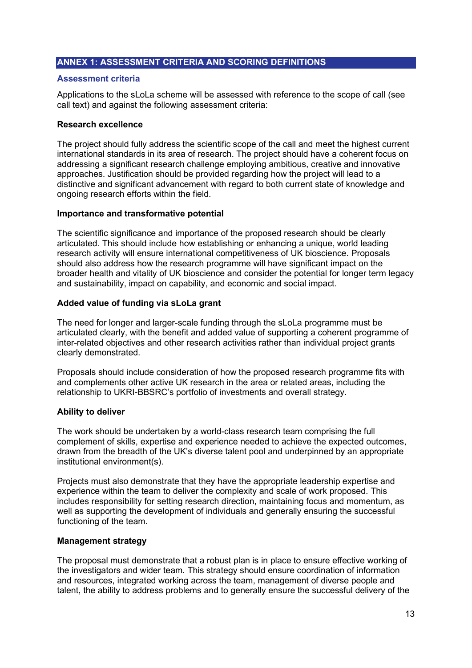### **ANNEX 1: ASSESSMENT CRITERIA AND SCORING DEFINITIONS**

#### **Assessment criteria**

Applications to the sLoLa scheme will be assessed with reference to the scope of call (see call text) and against the following assessment criteria:

#### **Research excellence**

The project should fully address the scientific scope of the call and meet the highest current international standards in its area of research. The project should have a coherent focus on addressing a significant research challenge employing ambitious, creative and innovative approaches. Justification should be provided regarding how the project will lead to a distinctive and significant advancement with regard to both current state of knowledge and ongoing research efforts within the field.

#### **Importance and transformative potential**

The scientific significance and importance of the proposed research should be clearly articulated. This should include how establishing or enhancing a unique, world leading research activity will ensure international competitiveness of UK bioscience. Proposals should also address how the research programme will have significant impact on the broader health and vitality of UK bioscience and consider the potential for longer term legacy and sustainability, impact on capability, and economic and social impact.

#### **Added value of funding via sLoLa grant**

The need for longer and larger-scale funding through the sLoLa programme must be articulated clearly, with the benefit and added value of supporting a coherent programme of inter-related objectives and other research activities rather than individual project grants clearly demonstrated.

Proposals should include consideration of how the proposed research programme fits with and complements other active UK research in the area or related areas, including the relationship to UKRI-BBSRC's portfolio of investments and overall strategy.

### **Ability to deliver**

The work should be undertaken by a world-class research team comprising the full complement of skills, expertise and experience needed to achieve the expected outcomes, drawn from the breadth of the UK's diverse talent pool and underpinned by an appropriate institutional environment(s).

Projects must also demonstrate that they have the appropriate leadership expertise and experience within the team to deliver the complexity and scale of work proposed. This includes responsibility for setting research direction, maintaining focus and momentum, as well as supporting the development of individuals and generally ensuring the successful functioning of the team.

#### **Management strategy**

The proposal must demonstrate that a robust plan is in place to ensure effective working of the investigators and wider team. This strategy should ensure coordination of information and resources, integrated working across the team, management of diverse people and talent, the ability to address problems and to generally ensure the successful delivery of the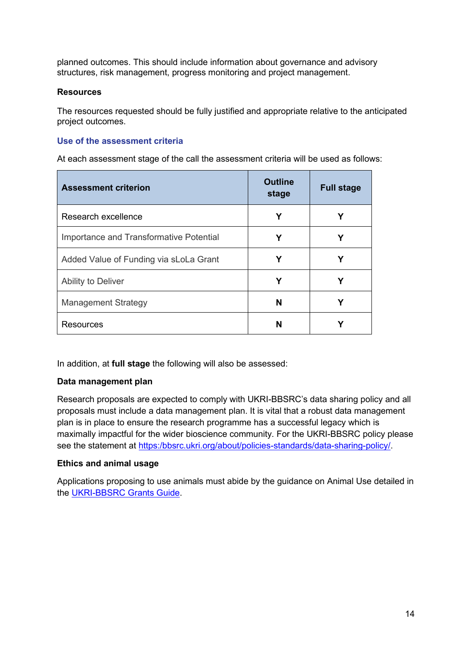planned outcomes. This should include information about governance and advisory structures, risk management, progress monitoring and project management.

#### **Resources**

The resources requested should be fully justified and appropriate relative to the anticipated project outcomes.

### **Use of the assessment criteria**

At each assessment stage of the call the assessment criteria will be used as follows:

| <b>Assessment criterion</b>             | <b>Outline</b><br>stage | <b>Full stage</b> |
|-----------------------------------------|-------------------------|-------------------|
| Research excellence                     | Y                       |                   |
| Importance and Transformative Potential | Υ                       | Υ                 |
| Added Value of Funding via sLoLa Grant  | Y                       | Y                 |
| Ability to Deliver                      | Y                       |                   |
| <b>Management Strategy</b>              | N                       |                   |
| Resources                               | N                       |                   |

In addition, at **full stage** the following will also be assessed:

### **Data management plan**

Research proposals are expected to comply with UKRI-BBSRC's data sharing policy and all proposals must include a data management plan. It is vital that a robust data management plan is in place to ensure the research programme has a successful legacy which is maximally impactful for the wider bioscience community. For the UKRI-BBSRC policy please see the statement at [https:/bbsrc.ukri.org/about/policies-standards/data-sharing-policy/.](https://bbsrc.ukri.org/about/policies-standards/data-sharing-policy/)

### **Ethics and animal usage**

Applications proposing to use animals must abide by the guidance on Animal Use detailed in the [UKRI-BBSRC Grants Guide.](https://www.ukri.org/wp-content/uploads/2021/07/BBSRC-Research-Grants-Guide-V11.25.pdf)